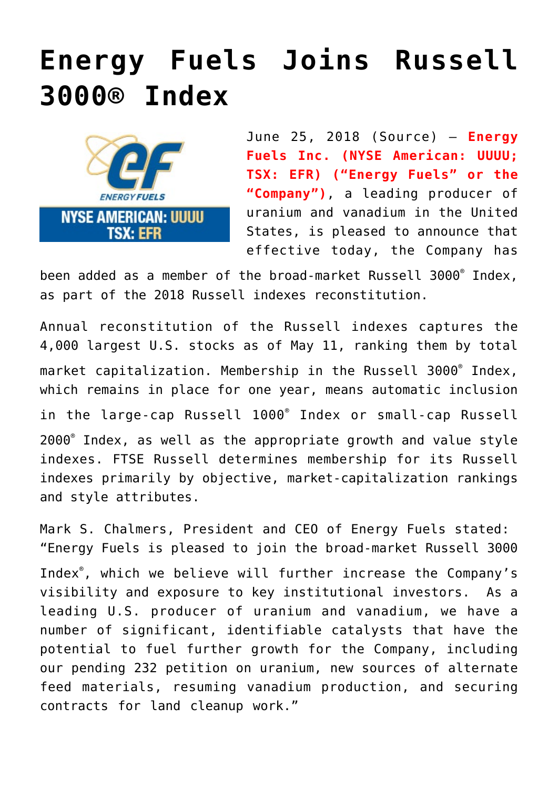## **[Energy Fuels Joins Russell](https://investorintel.com/markets/uranium-energy/uranium-energy-news/energy-fuels-joins-russell-3000-index/) [3000® Index](https://investorintel.com/markets/uranium-energy/uranium-energy-news/energy-fuels-joins-russell-3000-index/)**



June 25, 2018 ([Source](https://investorintel.com/iintel-members/energy-fuels-inc-2/)) — **Energy Fuels Inc. (NYSE American: UUUU; TSX: EFR) ("Energy Fuels" or the "Company")**, a leading producer of uranium and vanadium in the United States, is pleased to announce that effective today, the Company has

been added as a member of the broad-market Russell 3000® Index, as part of the 2018 Russell indexes reconstitution.

Annual reconstitution of the Russell indexes captures the 4,000 largest U.S. stocks as of May 11, ranking them by total market capitalization. Membership in the Russell 3000® Index, which remains in place for one year, means automatic inclusion in the large-cap Russell 1000® Index or small-cap Russell 2000® Index, as well as the appropriate growth and value style indexes. FTSE Russell determines membership for its Russell indexes primarily by objective, market-capitalization rankings and style attributes.

Mark S. Chalmers, President and CEO of Energy Fuels stated: "Energy Fuels is pleased to join the broad-market Russell 3000 Index® , which we believe will further increase the Company's visibility and exposure to key institutional investors. As a leading U.S. producer of uranium and vanadium, we have a number of significant, identifiable catalysts that have the potential to fuel further growth for the Company, including our pending 232 petition on uranium, new sources of alternate feed materials, resuming vanadium production, and securing contracts for land cleanup work."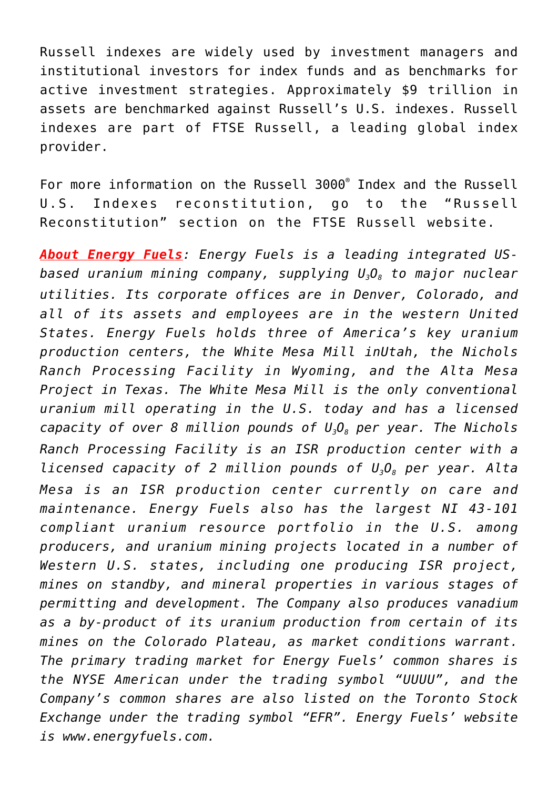Russell indexes are widely used by investment managers and institutional investors for index funds and as benchmarks for active investment strategies. Approximately \$9 trillion in assets are benchmarked against Russell's U.S. indexes. Russell indexes are part of FTSE Russell, a leading global index provider.

For more information on the Russell 3000® Index and the Russell U.S. Indexes reconstitution, go to the "Russell Reconstitution" section on the [FTSE Russell website.](http://www.ftserussell.com/index-series/index-resources/russell-reconstitution)

*About Energy Fuels: Energy Fuels is a leading integrated USbased uranium mining company, supplying U3O8 to major nuclear utilities. Its corporate offices are in Denver, Colorado, and all of its assets and employees are in the western United States. Energy Fuels holds three of America's key uranium production centers, the White Mesa Mill inUtah, the Nichols Ranch Processing Facility in Wyoming, and the Alta Mesa Project in Texas. The White Mesa Mill is the only conventional uranium mill operating in the U.S. today and has a licensed capacity of over 8 million pounds of U3O8 per year. The Nichols Ranch Processing Facility is an ISR production center with a licensed capacity of 2 million pounds of U3O8 per year. Alta Mesa is an ISR production center currently on care and maintenance. Energy Fuels also has the largest NI 43-101 compliant uranium resource portfolio in the U.S. among producers, and uranium mining projects located in a number of Western U.S. states, including one producing ISR project, mines on standby, and mineral properties in various stages of permitting and development. The Company also produces vanadium as a by-product of its uranium production from certain of its mines on the Colorado Plateau, as market conditions warrant. The primary trading market for Energy Fuels' common shares is the NYSE American under the trading symbol "UUUU", and the Company's common shares are also listed on the Toronto Stock Exchange under the trading symbol "EFR". Energy Fuels' website is [www.energyfuels.com](http://www.energyfuels.com/).*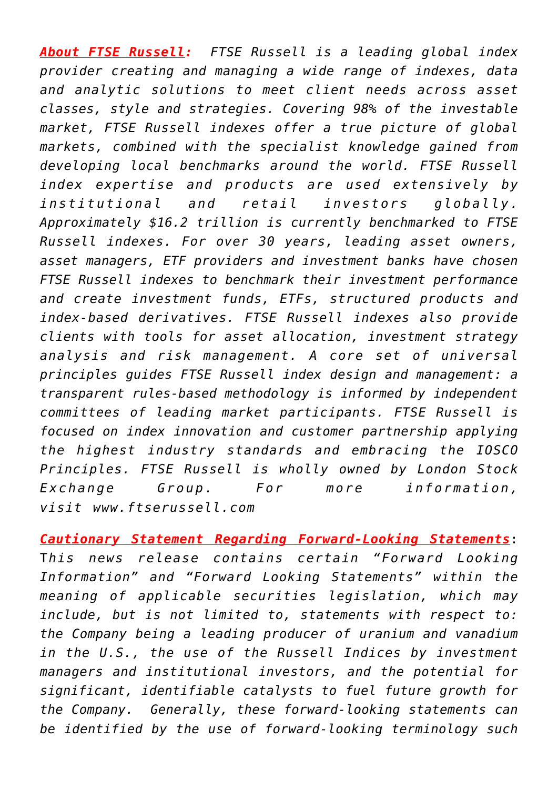*About FTSE Russell: FTSE Russell is a leading global index provider creating and managing a wide range of indexes, data and analytic solutions to meet client needs across asset classes, style and strategies. Covering 98% of the investable market, FTSE Russell indexes offer a true picture of global markets, combined with the specialist knowledge gained from developing local benchmarks around the world. FTSE Russell index expertise and products are used extensively by institutional and retail investors globally. Approximately \$16.2 trillion is currently benchmarked to FTSE Russell indexes. For over 30 years, leading asset owners, asset managers, ETF providers and investment banks have chosen FTSE Russell indexes to benchmark their investment performance and create investment funds, ETFs, structured products and index-based derivatives. FTSE Russell indexes also provide clients with tools for asset allocation, investment strategy analysis and risk management. A core set of universal principles guides FTSE Russell index design and management: a transparent rules-based methodology is informed by independent committees of leading market participants. FTSE Russell is focused on index innovation and customer partnership applying the highest industry standards and embracing the IOSCO Principles. FTSE Russell is wholly owned by London Stock Exchange Group. For more information, visit [www.ftserussell.com](http://www.ftserussell.com/)*

*Cautionary Statement Regarding Forward-Looking Statements*: T*his news release contains certain "Forward Looking Information" and "Forward Looking Statements" within the meaning of applicable securities legislation, which may include, but is not limited to, statements with respect to: the Company being a leading producer of uranium and vanadium in the U.S., the use of the Russell Indices by investment managers and institutional investors, and the potential for significant, identifiable catalysts to fuel future growth for the Company. Generally, these forward-looking statements can be identified by the use of forward-looking terminology such*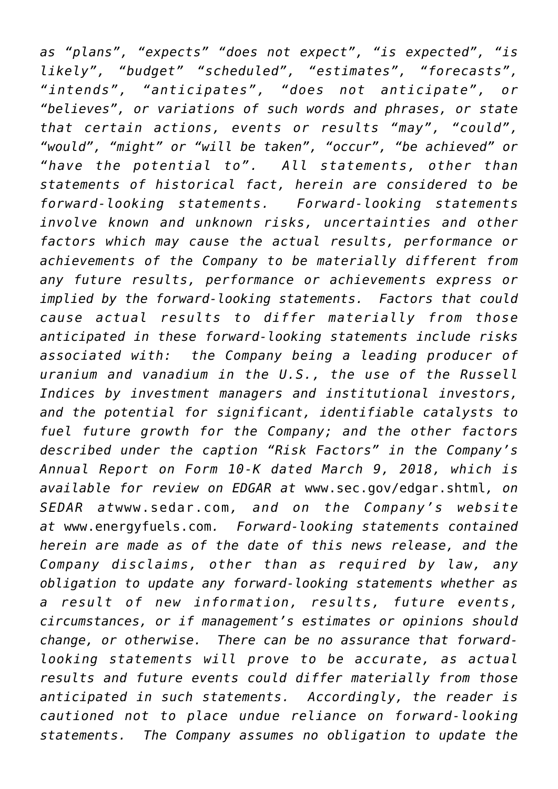*as "plans", "expects" "does not expect", "is expected", "is likely", "budget" "scheduled", "estimates", "forecasts", "intends", "anticipates", "does not anticipate", or "believes", or variations of such words and phrases, or state that certain actions, events or results "may", "could", "would", "might" or "will be taken", "occur", "be achieved" or "have the potential to". All statements, other than statements of historical fact, herein are considered to be forward-looking statements. Forward-looking statements involve known and unknown risks, uncertainties and other factors which may cause the actual results, performance or achievements of the Company to be materially different from any future results, performance or achievements express or implied by the forward-looking statements. Factors that could cause actual results to differ materially from those anticipated in these forward-looking statements include risks associated with: the Company being a leading producer of uranium and vanadium in the U.S., the use of the Russell Indices by investment managers and institutional investors, and the potential for significant, identifiable catalysts to fuel future growth for the Company; and the other factors described under the caption "Risk Factors" in the Company's Annual Report on Form 10-K dated March 9, 2018, which is available for review on EDGAR at* [www.sec.gov/edgar.shtml](http://www.sec.gov/edgar.shtml)*, on SEDAR at*[www.sedar.com](http://www.sedar.com/)*, and on the Company's website at* [www.energyfuels.com](http://www.energyfuels.com/)*. Forward-looking statements contained herein are made as of the date of this news release, and the Company disclaims, other than as required by law, any obligation to update any forward-looking statements whether as a result of new information, results, future events, circumstances, or if management's estimates or opinions should change, or otherwise. There can be no assurance that forwardlooking statements will prove to be accurate, as actual results and future events could differ materially from those anticipated in such statements. Accordingly, the reader is cautioned not to place undue reliance on forward-looking statements. The Company assumes no obligation to update the*